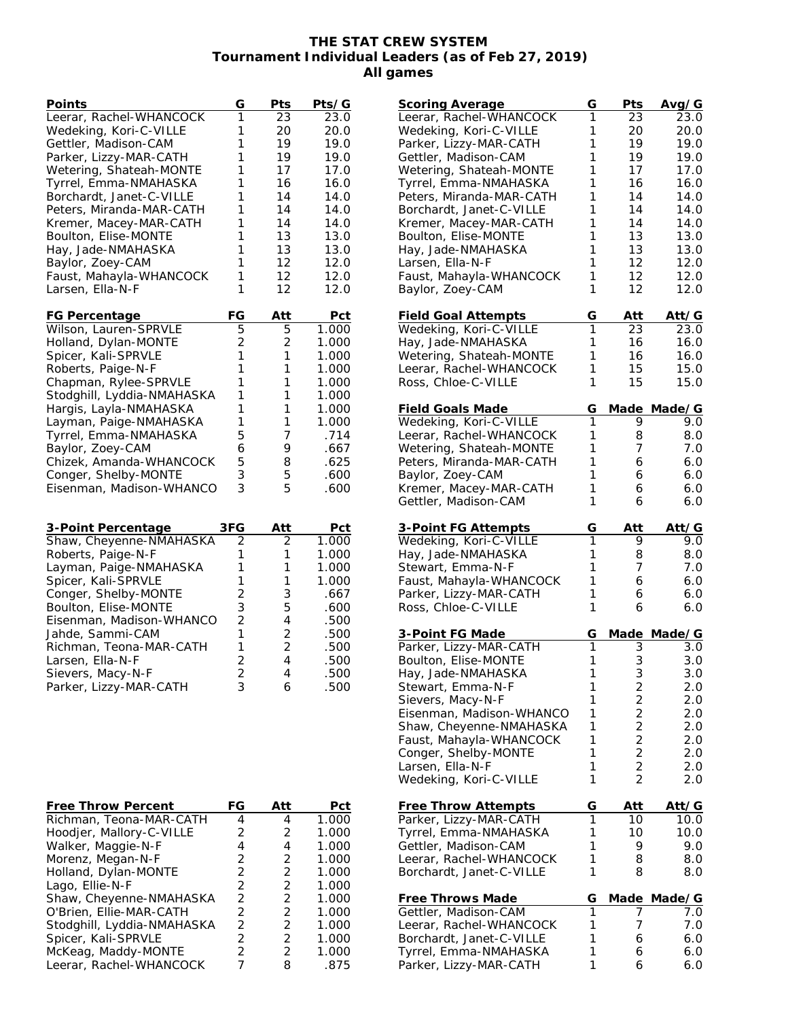## **THE STAT CREW SYSTEM Tournament Individual Leaders (as of Feb 27, 2019) All games**

| Points                                                | G                                | Pts                              | Pts/G          |
|-------------------------------------------------------|----------------------------------|----------------------------------|----------------|
| Leerar, Rachel-WHANCOCK                               | 1                                | 23                               | 23.0           |
| Wedeking, Kori-C-VILLE                                | 1                                | 20                               | 20.0           |
| Gettler, Madison-CAM                                  | 1                                | 19                               | 19.0           |
| Parker, Lizzy-MAR-CATH                                | 1                                | 19                               | 19.0           |
| Wetering, Shateah-MONTE                               | 1                                | 17                               | 17.0           |
| Tyrrel, Emma-NMAHASKA                                 | 1                                | 16                               | 16.0           |
| Borchardt, Janet-C-VILLE                              | 1                                | 14                               | 14.0           |
| Peters, Miranda-MAR-CATH                              | 1                                | 14                               | 14.0           |
| Kremer, Macey-MAR-CATH                                | 1                                | 14                               | 14.0           |
| Boulton, Elise-MONTE                                  | 1                                | 13                               | 13.0           |
| Hay, Jade-NMAHASKA                                    | 1                                | 13                               | 13.0           |
| Baylor, Zoey-CAM                                      | 1                                | 12                               | 12.0           |
| Faust, Mahayla-WHANCOCK                               | 1                                | 12                               | 12.0           |
| Larsen, Ella-N-F                                      | 1                                | 12                               | 12.0           |
|                                                       |                                  |                                  |                |
| FG Percentage                                         | FG                               | Att                              | Pct            |
| Wilson, Lauren-SPRVLE                                 | 5                                | 5                                | 1.000          |
| Holland, Dylan-MONTE                                  | 2                                | 2                                | 1.000          |
| Spicer, Kali-SPRVLE                                   | 1                                | 1                                | 1.000          |
| Roberts, Paige-N-F                                    | 1                                | 1                                | 1.000          |
| Chapman, Rylee-SPRVLE                                 | 1                                | 1                                | 1.000          |
| Stodghill, Lyddia-NMAHASKA                            | 1                                | 1                                | 1.000          |
| Hargis, Layla-NMAHASKA                                | 1                                | 1                                | 1.000          |
| Layman, Paige-NMAHASKA                                | 1                                | 1                                | 1.000          |
| Tyrrel, Emma-NMAHASKA                                 | 5                                | 7                                | .714           |
| Baylor, Zoey-CAM                                      | 6                                | 9                                | .667           |
| Chizek, Amanda-WHANCOCK                               | 5                                | 8                                | .625           |
| Conger, Shelby-MONTE                                  | 3                                | 5                                | .600           |
| Eisenman, Madison-WHANCO                              | 3                                | 5                                | .600           |
|                                                       |                                  |                                  |                |
|                                                       |                                  |                                  |                |
| 3-Point Percentage                                    | 3FG                              | Att                              | <u>Pct</u>     |
| Shaw, Cheyenne-NMAHASKA                               | 2                                | 2                                | 1.000          |
| Roberts, Paige-N-F                                    | 1                                | 1                                | 1.000          |
| Layman, Paige-NMAHASKA                                | 1                                | 1                                | 1.000          |
| Spicer, Kali-SPRVLE                                   | 1                                | 1                                | 1.000          |
| Conger, Shelby-MONTE                                  | $\overline{2}$                   | 3                                | .667           |
| Boulton, Elise-MONTE                                  |                                  |                                  |                |
|                                                       | 3                                | 5                                | .600           |
| Eisenman, Madison-WHANCO                              | $\overline{c}$                   | 4                                | .500           |
| Jahde, Sammi-CAM                                      | 1                                | 2                                | .500           |
| Richman, Teona-MAR-CATH                               | $\mathbf{1}$                     | 2                                | .500           |
| Larsen, Ella-N-F                                      | $\overline{c}$                   | $\overline{4}$                   | .500           |
| Sievers, Macy-N-F                                     | $\overline{c}$                   | 4                                | .500           |
| Parker, Lizzy-MAR-CATH                                | 3                                | 6                                | .500           |
|                                                       |                                  |                                  |                |
|                                                       |                                  |                                  |                |
|                                                       |                                  |                                  |                |
|                                                       |                                  |                                  |                |
|                                                       |                                  |                                  |                |
|                                                       |                                  |                                  |                |
|                                                       |                                  |                                  |                |
|                                                       |                                  |                                  |                |
| <b>Free Throw Percent</b>                             | FG                               | Att                              | Pct            |
| Richman, Teona-MAR-CATH                               | 4                                | 4                                | 1.000          |
| Hoodjer, Mallory-C-VILLE                              | $\overline{c}$                   | 2                                | 1.000          |
| Walker, Maggie-N-F                                    | 4                                | $\overline{4}$                   | 1.000          |
| Morenz, Megan-N-F                                     | $\overline{c}$                   | 2                                | 1.000          |
| Holland, Dylan-MONTE                                  | $\overline{c}$                   | $\overline{2}$                   | 1.000          |
| Lago, Ellie-N-F                                       |                                  | $\overline{c}$                   | 1.000          |
| Shaw, Cheyenne-NMAHASKA                               | $\frac{2}{2}$                    | $\overline{2}$                   | 1.000          |
| O'Brien, Ellie-MAR-CATH<br>Stodghill, Lyddia-NMAHASKA | $\overline{c}$<br>$\overline{2}$ | $\overline{2}$<br>$\overline{2}$ | 1.000<br>1.000 |

Spicer, Kali-SPRVLE 2 2 2 1.000 McKeag, Maddy-MONTE 2 2 2 1.000 Leerar, Rachel-WHANCOCK 7 8 .875

| Scoring Average                                     | G      | Pts                              | Avg/G      |
|-----------------------------------------------------|--------|----------------------------------|------------|
| Leerar, Rachel-WHANCOCK                             | 1      | 23                               | 23.0       |
| Wedeking, Kori-C-VILLE                              | 1      | 20                               | 20.0       |
| Parker, Lizzy-MAR-CATH                              | 1      | 19                               | 19.0       |
| Gettler, Madison-CAM                                | 1      | 19                               | 19.0       |
| Wetering, Shateah-MONTE                             | 1      | 17                               | 17.0       |
|                                                     |        |                                  |            |
| Tyrrel, Emma-NMAHASKA                               | 1      | 16                               | 16.0       |
| Peters, Miranda-MAR-CATH                            | 1      | 14                               | 14.0       |
| Borchardt, Janet-C-VILLE                            | 1      | 14                               | 14.0       |
| Kremer, Macey-MAR-CATH                              | 1      | 14                               | 14.0       |
| Boulton, Elise-MONTE                                | 1      | 13                               | 13.0       |
| Hay, Jade-NMAHASKA                                  | 1      | 13                               | 13.0       |
|                                                     | 1      | 12                               |            |
| Larsen, Ella-N-F                                    |        |                                  | 12.0       |
| Faust, Mahayla-WHANCOCK                             | 1      | 12                               | 12.0       |
| Baylor, Zoey-CAM                                    | 1      | 12                               | 12.0       |
| <b>Field Goal Attempts</b>                          | G      | Att                              | Att/G      |
| Wedeking, Kori-C-VILLE                              | 1      | 23                               | 23.0       |
| Hay, Jade-NMAHASKA                                  | 1      | 16                               | 16.0       |
| Wetering, Shateah-MONTE                             | 1      |                                  |            |
|                                                     |        | 16                               | 16.0       |
| Leerar, Rachel-WHANCOCK                             | 1      | 15                               | 15.0       |
| Ross, Chloe-C-VILLE                                 | 1      | 15                               | 15.0       |
| <b>Field Goals Made</b>                             | G      | Made                             | Made/G     |
| Wedeking, Kori-C-VILLE                              | 1      | 9                                | 9.0        |
| Leerar, Rachel-WHANCOCK                             | 1      | 8                                | 8.0        |
|                                                     |        |                                  |            |
| Wetering, Shateah-MONTE                             | 1      | 7                                | 7.0        |
| Peters, Miranda-MAR-CATH                            | 1      | 6                                | 6.0        |
| Baylor, Zoey-CAM                                    | 1      | 6                                | 6.0        |
| Kremer, Macey-MAR-CATH                              | 1      | 6                                | 6.0        |
| Gettler, Madison-CAM                                | 1      | 6                                | 6.0        |
|                                                     |        |                                  |            |
| 3-Point FG Attempts                                 | G      | Att                              | Att/G      |
| Wedeking, Kori-C-VILLE                              | 1      | 9                                | 9.0        |
|                                                     |        |                                  |            |
| Hay, Jade-NMAHASKA                                  | 1      | 8                                | 8.0        |
| Stewart, Emma-N-F                                   | 1      | 7                                | 7.0        |
|                                                     | 1      | 6                                | 6.0        |
| Faust, Mahayla-WHANCOCK                             |        |                                  |            |
| Parker, Lizzy-MAR-CATH                              | 1      | 6                                | 6.0        |
| Ross, Chloe-C-VILLE                                 | 1      | 6                                | 6.0        |
| 3-Point FG Made                                     | G      | Made                             | Made/G     |
| Parker, Lizzy-MAR-CATH                              | 1      | З                                | 3.0        |
| Boulton, Elise-MONTE                                | 1      | 3                                | 3.0        |
|                                                     |        |                                  |            |
| Hay, Jade-NMAHASKA                                  | 1      | 3                                | 3.0        |
| Stewart, Emma-N-F                                   | 1      | $\overline{\mathbf{c}}$          | 2.0        |
| Sievers, Macy-N-F                                   | 1      | $\overline{c}$                   | 2.0        |
| Eisenman, Madison-WHANCO                            | 1      | $\overline{2}$                   | 2.0        |
| Shaw, Cheyenne-NMAHASKA                             | 1      | $\overline{c}$                   | 2.0        |
| Faust, Mahayla-WHANCOCK                             | 1      | $\overline{2}$                   | 2.0        |
|                                                     | 1      | $\overline{2}$                   | 2.0        |
| Conger, Shelby-MONTE                                |        |                                  |            |
| Larsen, Ella-N-F<br>Wedeking, Kori-C-VILLE          | 1<br>1 | $\overline{2}$<br>$\overline{2}$ | 2.0<br>2.0 |
|                                                     |        |                                  |            |
| <b>Free Throw Attempts</b>                          | G      | Att                              | Att/G      |
| Parker, Lizzy-MAR-CATH                              | 1      | 10                               | 10.0       |
| Tyrrel, Emma-NMAHASKA                               | 1      | 10                               | 10.0       |
|                                                     | 1      | 9                                |            |
| Gettler, Madison-CAM                                |        |                                  | 9.0        |
| Leerar, Rachel-WHANCOCK<br>Borchardt, Janet-C-VILLE | 1<br>1 | 8<br>8                           | 8.0<br>8.0 |
|                                                     |        |                                  |            |
| <b>Free Throws Made</b>                             | G      | Made                             | Made/G     |
| Gettler, Madison-CAM                                | 1      | 7                                | 7.0        |
| Leerar, Rachel-WHANCOCK                             | 1      | 7                                | 7.0        |
|                                                     | 1      | 6                                |            |
| Borchardt, Janet-C-VILLE                            |        |                                  | 6.0        |
| Tyrrel, Emma-NMAHASKA<br>Parker, Lizzy-MAR-CATH     | 1<br>1 | 6<br>6                           | 6.0<br>6.0 |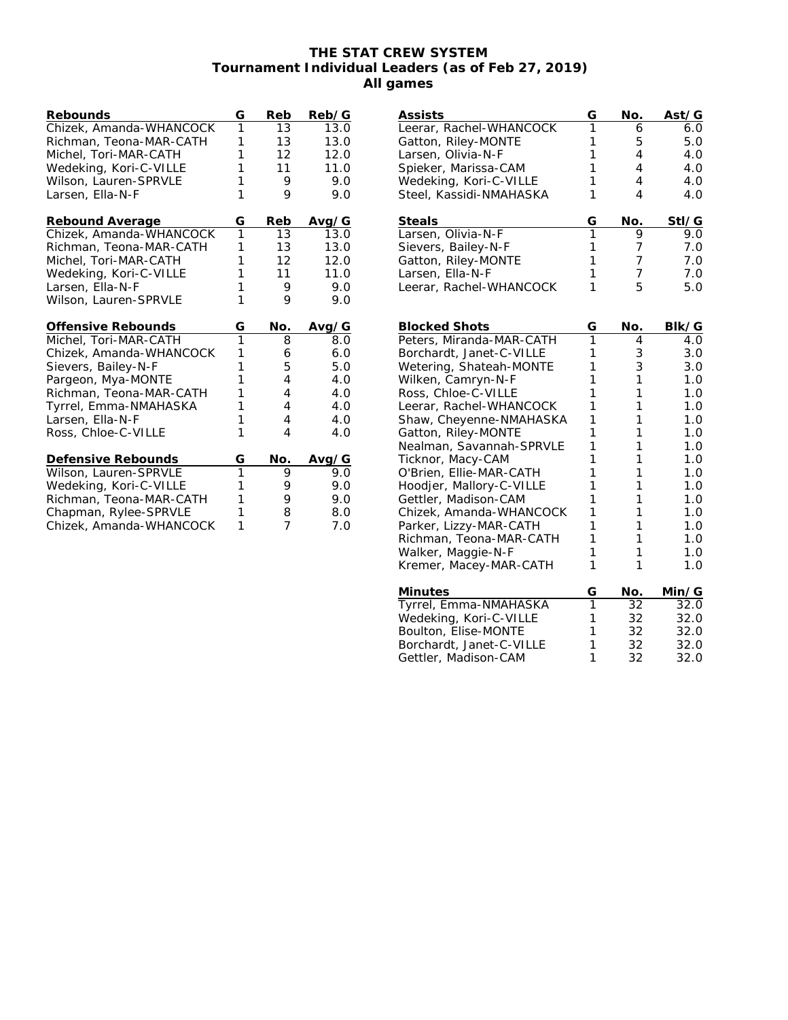## **THE STAT CREW SYSTEM Tournament Individual Leaders (as of Feb 27, 2019) All games**

| Rebounds                | G              | Reb | Reb/G |
|-------------------------|----------------|-----|-------|
| Chizek, Amanda-WHANCOCK | 1              | 13  | 13.0  |
| Richman, Teona-MAR-CATH | 1              | 13  | 13.0  |
| Michel, Tori-MAR-CATH   | 1              | 12  | 12.0  |
| Wedeking, Kori-C-VILLE  | 1              | 11  | 11.0  |
| Wilson, Lauren-SPRVLE   | 1              | 9   | 9.0   |
| Larsen, Ella-N-F        | 1              | 9   | 9.0   |
| Rebound Average         | G              | Reb | Avg/G |
| Chizek, Amanda-WHANCOCK | 1              | 13  | 13.0  |
| Richman, Teona-MAR-CATH | 1              | 13  | 13.0  |
| Michel, Tori-MAR-CATH   | 1              | 12  | 12.0  |
| Wedeking, Kori-C-VILLE  | 1              | 11  | 11.0  |
| Larsen, Ella-N-F        | 1              | 9   | 9.0   |
| Wilson, Lauren-SPRVLE   | 1              | 9   | 9.0   |
| Offensive Rebounds      | G              | No. | Avg/G |
| Michel, Tori-MAR-CATH   | $\overline{1}$ | 8   | 8.0   |
| Chizek, Amanda-WHANCOCK | 1              | 6   | 6.0   |
| Sievers, Bailey-N-F     | 1              | 5   | 5.0   |
| Pargeon, Mya-MONTE      | 1              | 4   | 4.0   |
| Richman, Teona-MAR-CATH | 1              | 4   | 4.0   |
| Tyrrel, Emma-NMAHASKA   | 1              | 4   | 4.0   |
| Larsen, Ella-N-F        | 1              | 4   | 4.0   |
| Ross, Chloe-C-VILLE     | 1              | 4   | 4.0   |
| Defensive Rebounds      | G              | No. | Avg/G |
| Wilson, Lauren-SPRVLE   | 1              | 9   | 9.0   |
| Wedeking, Kori-C-VILLE  | 1              | 9   | 9.0   |
| Richman, Teona-MAR-CATH | 1              | 9   | 9.0   |
| Chapman, Rylee-SPRVLE   | 1              | 8   | 8.0   |
| Chizek, Amanda-WHANCOCK | 1              | 7   | 7.0   |

| <b>Assists</b>                               | G              | No.    | Ast/G      |
|----------------------------------------------|----------------|--------|------------|
| Leerar, Rachel-WHANCOCK                      | 1              | 6      | 6.0        |
| Gatton, Riley-MONTE                          | 1              | 5      | 5.0        |
| Larsen, Olivia-N-F                           | 1              | 4      | 4.0        |
| Spieker, Marissa-CAM                         | 1              | 4      | 4.0        |
| Wedeking, Kori-C-VILLE                       | 1              | 4      | 4.0        |
| Steel, Kassidi-NMAHASKA                      | 1              | 4      | 4.0        |
| <b>Steals</b>                                | G              | No.    | Stl/G      |
| Larsen, Olivia-N-F                           | $\overline{1}$ | 9      | 9.0        |
| Sievers, Bailey-N-F                          | 1              | 7      | 7.0        |
| Gatton, Riley-MONTE                          | 1              | 7      | 7.0        |
| Larsen, Ella-N-F                             | 1              | 7      | 7.0        |
| Leerar, Rachel-WHANCOCK                      | 1              | 5      | 5.0        |
|                                              |                |        |            |
| <b>Blocked Shots</b>                         | G              | No.    | Blk/G      |
| Peters, Miranda-MAR-CATH                     | 1              | 4      | 4.0        |
| Borchardt, Janet-C-VILLE                     | 1              | 3      | 3.0        |
| Wetering, Shateah-MONTE                      | 1              | 3      | 3.0        |
| Wilken, Camryn-N-F                           | 1              | 1      | 1.0        |
| Ross, Chloe-C-VILLE                          | 1              | 1      | 1.0        |
| Leerar, Rachel-WHANCOCK                      | 1              | 1      | 1.0        |
| Shaw, Cheyenne-NMAHASKA                      | 1              | 1      | 1.0        |
| Gatton, Riley-MONTE                          | 1              | 1      | 1.0        |
| Nealman, Savannah-SPRVLE                     | 1              | 1      | 1.0        |
| Ticknor, Macy-CAM                            | 1<br>1         | 1<br>1 | 1.0        |
| O'Brien, Ellie-MAR-CATH                      |                |        | 1.0        |
| Hoodjer, Mallory-C-VILLE                     | 1<br>1         | 1<br>1 | 1.0        |
| Gettler, Madison-CAM                         | 1              | 1      | 1.0        |
| Chizek, Amanda-WHANCOCK                      | 1              | 1      | 1.0        |
| Parker, Lizzy-MAR-CATH                       | 1              | 1      | 1.0        |
| Richman, Teona-MAR-CATH                      | 1              | 1      | 1.0        |
| Walker, Maggie-N-F<br>Kremer, Macey-MAR-CATH | 1              | 1      | 1.0<br>1.0 |
|                                              |                |        |            |
| Minutes                                      | G              | No.    | Min/G      |
| Tyrrel, Emma-NMAHASKA                        | 1              | 32     | 32.0       |
| Wedeking, Kori-C-VILLE                       | 1<br>1         | 32     | 32.0       |
| Boulton, Elise-MONTE                         |                | 32     | 32.0       |

Borchardt, Janet-C-VILLE 1 32 32.0 Gettler, Madison-CAM 1 32 32.0